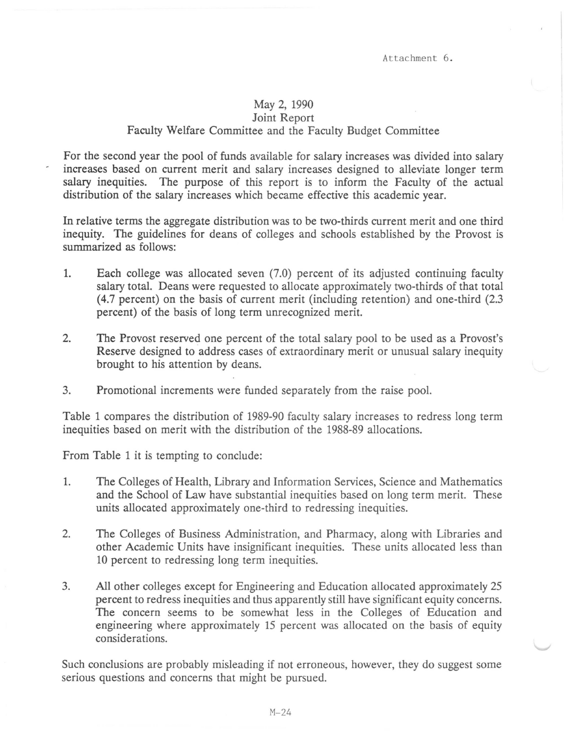## May 2, 1990

## Joint Report Faculty Welfare Committee and the Faculty Budget Committee

For the second year the pool of funds available for salary increases was divided into salary increases based on current merit and salary increases designed to alleviate longer term salary inequities. The purpose of this report is to inform the Faculty of the actual distribution of the salary increases which became effective this academic year.

In relative terms the aggregate distribution was to be two-thirds current merit and one third inequity. The guidelines for deans of colleges and schools established by the Provost is summarized as follows:

- 1. Each college was allocated seven (7.0) percent of its adjusted continuing faculty salary total. Deans were requested to allocate approximately two-thirds of that total ( 4.7 percent) on the basis of current merit (including retention) and one-third (2.3 percent) of the basis of long term unrecognized merit.
- 2. The Provost reserved one percent of the total salary pool to be used as a Provost's Reserve designed to address cases of extraordinary merit or unusual salary inequity brought to his attention by deans.
- 3. Promotional increments were funded separately from the raise pool.

Table 1 compares the distribution of 1989-90 faculty salary increases to redress long term inequities based on merit with the distribution of the 1988-89 allocations.

From Table 1 it is tempting to conclude:

- 1. The Colleges of Health, Library and Information Services, Science and Mathematics and the School of Law have substantial inequities based on long term merit. These units allocated approximately one-third to redressing inequities.
- 2. The Colleges of Business Administration, and Pharmacy, along with Libraries and other Academic Units have insignificant inequities. These units allocated less than 10 percent to redressing long term inequities.
- 3. All other colleges except for Engineering and Education allocated approximately 25 percent to redress inequities and thus apparently still have significant equity concerns. The concern seems to be somewhat less in the Colleges of Education and engineering where approximately 15 percent was allocated on the basis of equity considerations.

Such conclusions are probably misleading if not erroneous, however, they do suggest some serious questions and concerns that might be pursued.